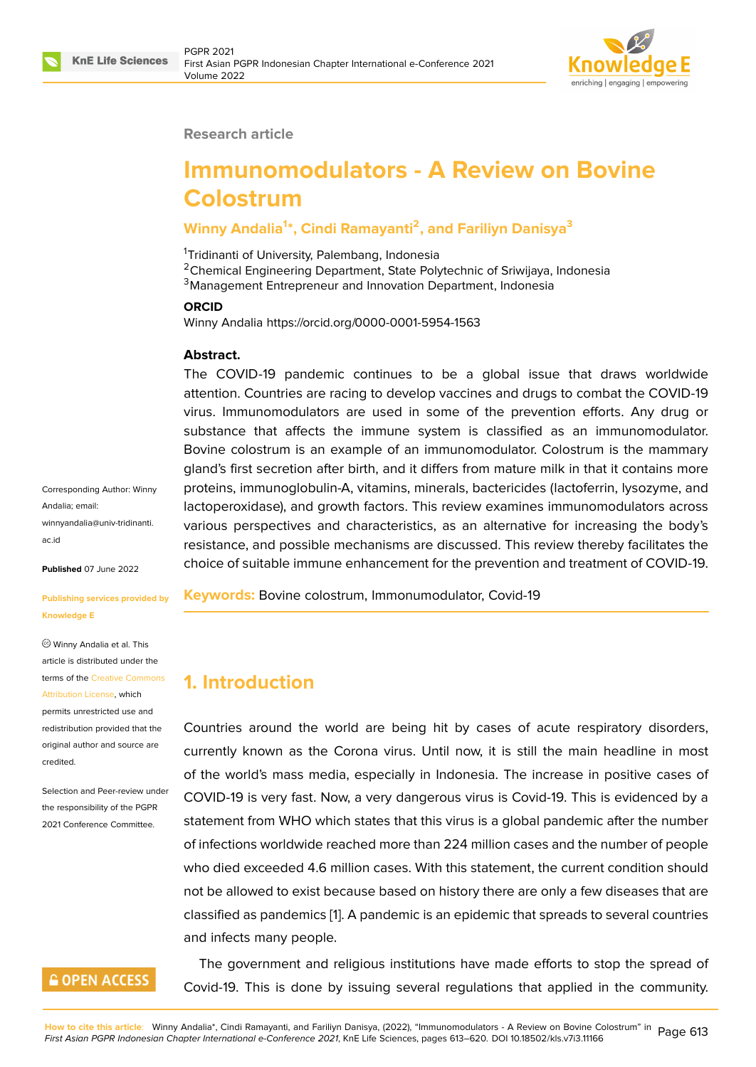

#### **Research article**

# **Immunomodulators - A Review on Bovine Colostrum**

#### **Winny Andalia<sup>1</sup> \*, Cindi Ramayanti<sup>2</sup> , and Fariliyn Danisya<sup>3</sup>**

<sup>1</sup>Tridinanti of University, Palembang, Indonesia

<sup>2</sup>Chemical Engineering Department, State Polytechnic of Sriwijaya, Indonesia <sup>3</sup>Management Entrepreneur and Innovation Department, Indonesia

#### **ORCID**

Winny Andalia https://orcid.org/0000-0001-5954-1563

#### **Abstract.**

The COVID-19 pandemic continues to be a global issue that draws worldwide attention. Countries are racing to develop vaccines and drugs to combat the COVID-19 virus. Immunomodulators are used in some of the prevention efforts. Any drug or substance that affects the immune system is classified as an immunomodulator. Bovine colostrum is an example of an immunomodulator. Colostrum is the mammary gland's first secretion after birth, and it differs from mature milk in that it contains more proteins, immunoglobulin-A, vitamins, minerals, bactericides (lactoferrin, lysozyme, and lactoperoxidase), and growth factors. This review examines immunomodulators across various perspectives and characteristics, as an alternative for increasing the body's resistance, and possible mechanisms are discussed. This review thereby facilitates the choice of suitable immune enhancement for the prevention and treatment of COVID-19.

**Keywords:** Bovine colostrum, Immonumodulator, Covid-19

# **1. Introduction**

Countries around the world are being hit by cases of acute respiratory disorders, currently known as the Corona virus. Until now, it is still the main headline in most of the world's mass media, especially in Indonesia. The increase in positive cases of COVID-19 is very fast. Now, a very dangerous virus is Covid-19. This is evidenced by a statement from WHO which states that this virus is a global pandemic after the number of infections worldwide reached more than 224 million cases and the number of people who died exceeded 4.6 million cases. With this statement, the current condition should not be allowed to exist because based on history there are only a few diseases that are classified as pandemics [1]. A pandemic is an epidemic that spreads to several countries and infects many people.

The government and religious institutions have made efforts to stop the spread of Covid-19. This is done [by](#page-5-0) issuing several regulations that applied in the community.

Corresponding Author: Winny Andalia; email: winnyandalia@univ-tridinanti. ac.id

**Published** 07 June 2022

#### **[Publi](mailto:winnyandalia@univ-tridinanti.ac.id)shing services provided by Knowledge E**

Winny Andalia et al. This article is distributed under the terms of the Creative Commons Attribution License, which permits unrestricted use and redistribution provided that the original auth[or and source are](https://creativecommons.org/licenses/by/4.0/) [credited.](https://creativecommons.org/licenses/by/4.0/)

Selection and Peer-review under the responsibility of the PGPR 2021 Conference Committee.

## **GOPEN ACCESS**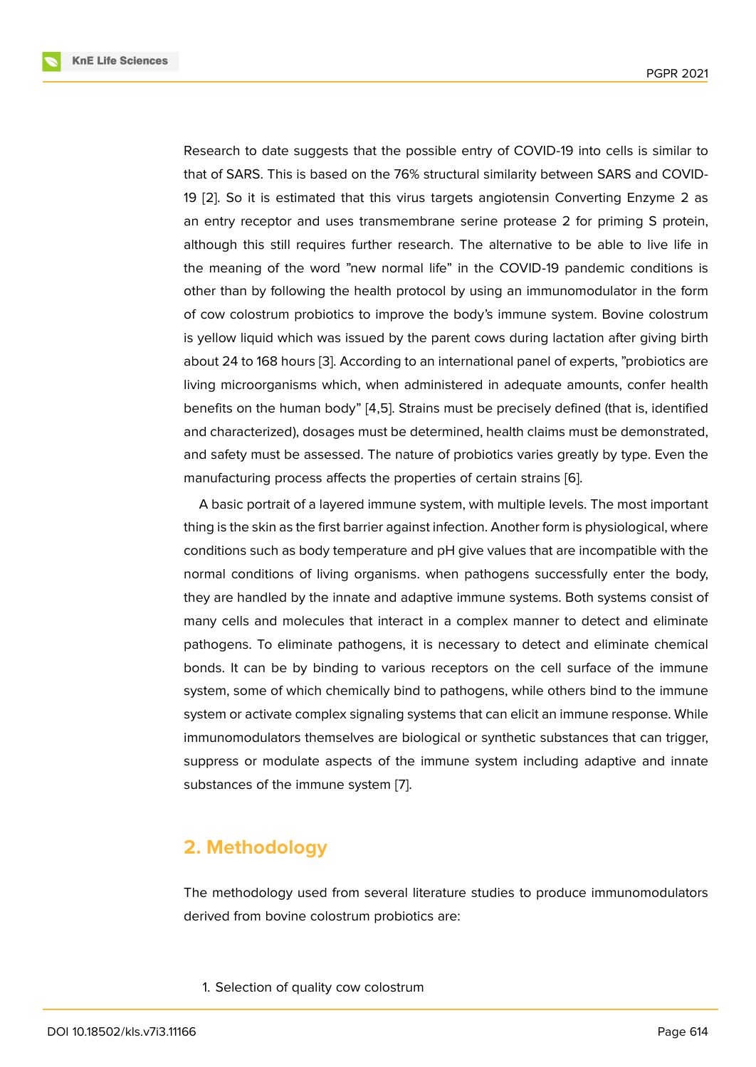Research to date suggests that the possible entry of COVID-19 into cells is similar to that of SARS. This is based on the 76% structural similarity between SARS and COVID-19 [2]. So it is estimated that this virus targets angiotensin Converting Enzyme 2 as an entry receptor and uses transmembrane serine protease 2 for priming S protein, although this still requires further research. The alternative to be able to live life in the [m](#page-5-1)eaning of the word "new normal life" in the COVID-19 pandemic conditions is other than by following the health protocol by using an immunomodulator in the form of cow colostrum probiotics to improve the body's immune system. Bovine colostrum is yellow liquid which was issued by the parent cows during lactation after giving birth about 24 to 168 hours [3]. According to an international panel of experts, "probiotics are living microorganisms which, when administered in adequate amounts, confer health benefits on the human body" [4,5]. Strains must be precisely defined (that is, identified and characterized), do[sa](#page-5-2)ges must be determined, health claims must be demonstrated, and safety must be assessed. The nature of probiotics varies greatly by type. Even the manufacturing process affects the properties of certain strains [6].

A basic portrait of a layered immune system, with multiple levels. The most important thing is the skin as the first barrier against infection. Another form is physiological, where conditions such as body temperature and pH give values that ar[e](#page-6-0) incompatible with the normal conditions of living organisms. when pathogens successfully enter the body, they are handled by the innate and adaptive immune systems. Both systems consist of many cells and molecules that interact in a complex manner to detect and eliminate pathogens. To eliminate pathogens, it is necessary to detect and eliminate chemical bonds. It can be by binding to various receptors on the cell surface of the immune system, some of which chemically bind to pathogens, while others bind to the immune system or activate complex signaling systems that can elicit an immune response. While immunomodulators themselves are biological or synthetic substances that can trigger, suppress or modulate aspects of the immune system including adaptive and innate substances of the immune system [7].

### **2. Methodology**

The methodology used from several literature studies to produce immunomodulators derived from bovine colostrum probiotics are:

1. Selection of quality cow colostrum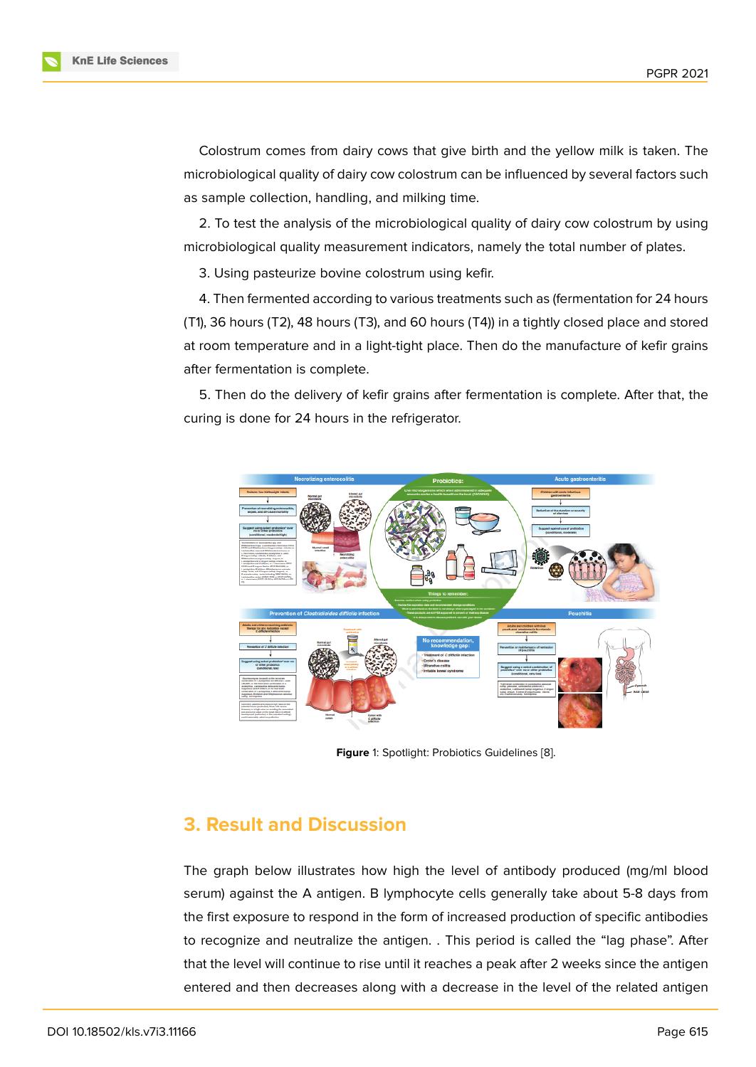Colostrum comes from dairy cows that give birth and the yellow milk is taken. The microbiological quality of dairy cow colostrum can be influenced by several factors such as sample collection, handling, and milking time.

2. To test the analysis of the microbiological quality of dairy cow colostrum by using microbiological quality measurement indicators, namely the total number of plates.

3. Using pasteurize bovine colostrum using kefir.

4. Then fermented according to various treatments such as (fermentation for 24 hours (T1), 36 hours (T2), 48 hours (T3), and 60 hours (T4)) in a tightly closed place and stored at room temperature and in a light-tight place. Then do the manufacture of kefir grains after fermentation is complete.

5. Then do the delivery of kefir grains after fermentation is complete. After that, the curing is done for 24 hours in the refrigerator.



**Figure** 1: Spotlight: Probiotics Guidelines [8].

### **3. Result and Discussion**

The graph below illustrates how high the level of antibody produced (mg/ml blood serum) against the A antigen. B lymphocyte cells generally take about 5-8 days from the first exposure to respond in the form of increased production of specific antibodies to recognize and neutralize the antigen. . This period is called the "lag phase". After that the level will continue to rise until it reaches a peak after 2 weeks since the antigen entered and then decreases along with a decrease in the level of the related antigen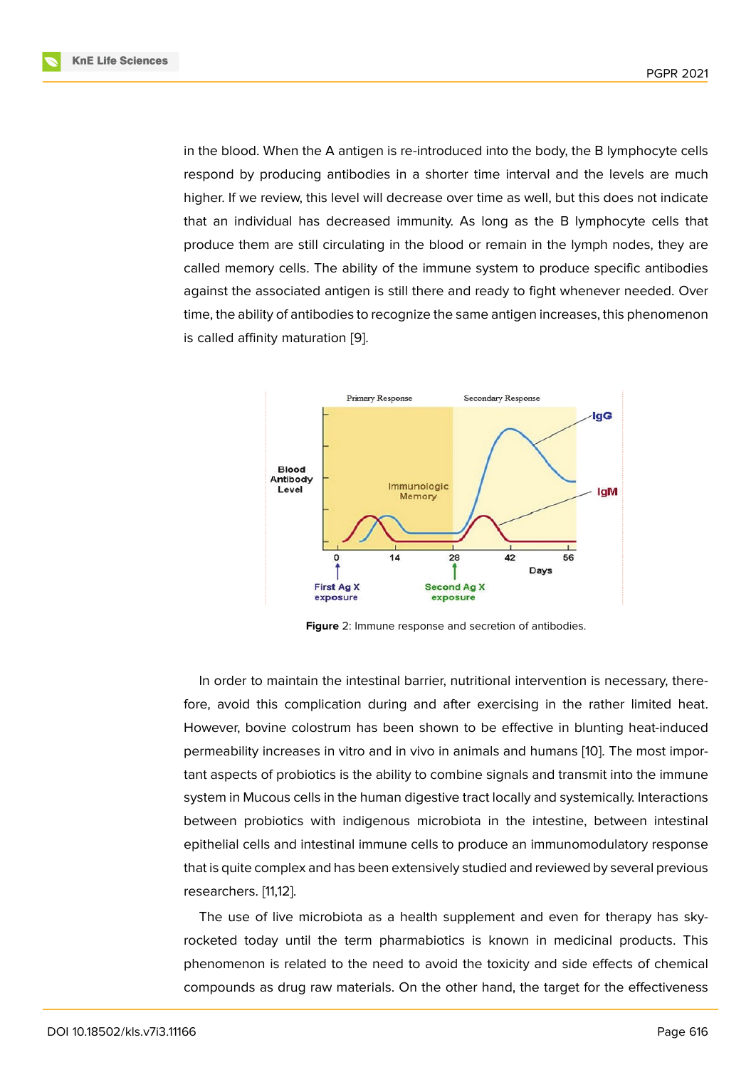in the blood. When the A antigen is re-introduced into the body, the B lymphocyte cells respond by producing antibodies in a shorter time interval and the levels are much higher. If we review, this level will decrease over time as well, but this does not indicate that an individual has decreased immunity. As long as the B lymphocyte cells that produce them are still circulating in the blood or remain in the lymph nodes, they are called memory cells. The ability of the immune system to produce specific antibodies against the associated antigen is still there and ready to fight whenever needed. Over time, the ability of antibodies to recognize the same antigen increases, this phenomenon is called affinity maturation [9].



**Figure** 2: Immune response and secretion of antibodies.

In order to maintain the intestinal barrier, nutritional intervention is necessary, therefore, avoid this complication during and after exercising in the rather limited heat. However, bovine colostrum has been shown to be effective in blunting heat-induced permeability increases in vitro and in vivo in animals and humans [10]. The most important aspects of probiotics is the ability to combine signals and transmit into the immune system in Mucous cells in the human digestive tract locally and systemically. Interactions between probiotics with indigenous microbiota in the intestine[, b](#page-6-1)etween intestinal epithelial cells and intestinal immune cells to produce an immunomodulatory response that is quite complex and has been extensively studied and reviewed by several previous researchers. [11,12].

The use of live microbiota as a health supplement and even for therapy has skyrocketed today until the term pharmabiotics is known in medicinal products. This phenomenon is related to the need to avoid the toxicity and side effects of chemical compounds as drug raw materials. On the other hand, the target for the effectiveness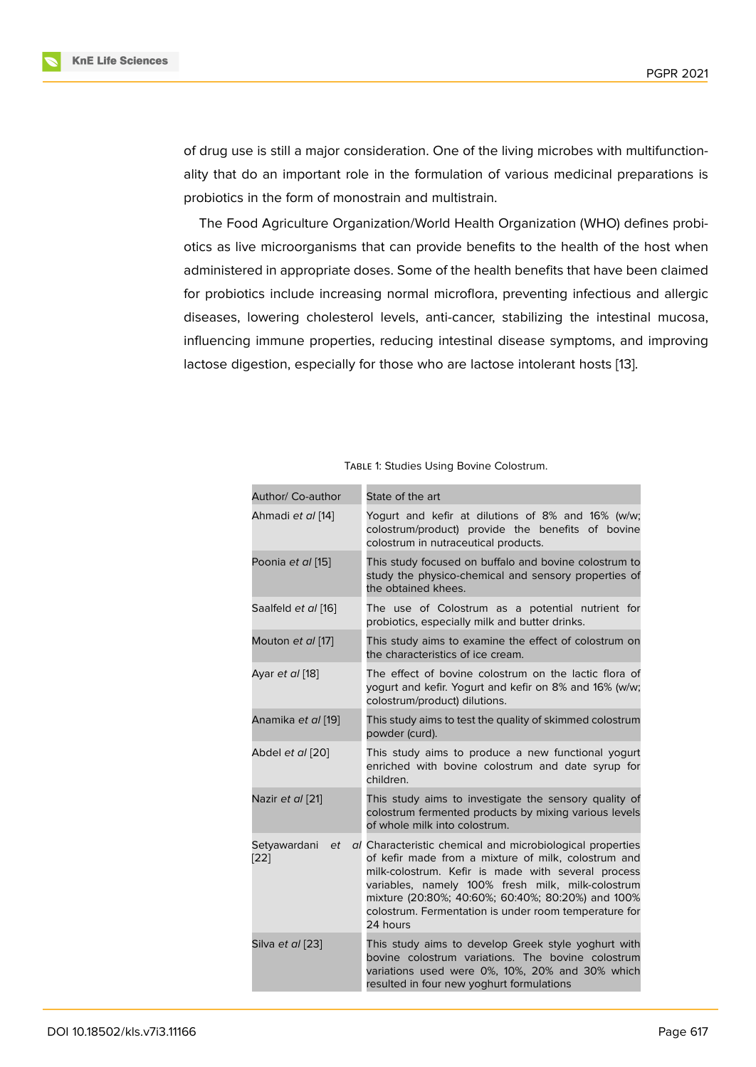of drug use is still a major consideration. One of the living microbes with multifunctionality that do an important role in the formulation of various medicinal preparations is probiotics in the form of monostrain and multistrain.

The Food Agriculture Organization/World Health Organization (WHO) defines probiotics as live microorganisms that can provide benefits to the health of the host when administered in appropriate doses. Some of the health benefits that have been claimed for probiotics include increasing normal microflora, preventing infectious and allergic diseases, lowering cholesterol levels, anti-cancer, stabilizing the intestinal mucosa, influencing immune properties, reducing intestinal disease symptoms, and improving lactose digestion, especially for those who are lactose intolerant hosts [13].

| Author/ Co-author          | State of the art                                                                                                                                                                                                                                                                                                                                      |
|----------------------------|-------------------------------------------------------------------------------------------------------------------------------------------------------------------------------------------------------------------------------------------------------------------------------------------------------------------------------------------------------|
| Ahmadi et al [14]          | Yogurt and kefir at dilutions of 8% and 16% (w/w;<br>colostrum/product) provide the benefits of bovine<br>colostrum in nutraceutical products.                                                                                                                                                                                                        |
| Poonia et al [15]          | This study focused on buffalo and bovine colostrum to<br>study the physico-chemical and sensory properties of<br>the obtained khees.                                                                                                                                                                                                                  |
| Saalfeld et al [16]        | The use of Colostrum as a potential nutrient for<br>probiotics, especially milk and butter drinks.                                                                                                                                                                                                                                                    |
| Mouton et al [17]          | This study aims to examine the effect of colostrum on<br>the characteristics of ice cream.                                                                                                                                                                                                                                                            |
| Ayar et al [18]            | The effect of bovine colostrum on the lactic flora of<br>yogurt and kefir. Yogurt and kefir on 8% and 16% (w/w;<br>colostrum/product) dilutions.                                                                                                                                                                                                      |
| Anamika et al [19]         | This study aims to test the quality of skimmed colostrum<br>powder (curd).                                                                                                                                                                                                                                                                            |
| Abdel et al [20]           | This study aims to produce a new functional yogurt<br>enriched with bovine colostrum and date syrup for<br>children.                                                                                                                                                                                                                                  |
| Nazir et al [21]           | This study aims to investigate the sensory quality of<br>colostrum fermented products by mixing various levels<br>of whole milk into colostrum.                                                                                                                                                                                                       |
| Setyawardani<br>et<br>[22] | al Characteristic chemical and microbiological properties<br>of kefir made from a mixture of milk, colostrum and<br>milk-colostrum. Kefir is made with several process<br>variables, namely 100% fresh milk, milk-colostrum<br>mixture (20:80%; 40:60%; 60:40%; 80:20%) and 100%<br>colostrum. Fermentation is under room temperature for<br>24 hours |
| Silva et al [23]           | This study aims to develop Greek style yoghurt with<br>bovine colostrum variations. The bovine colostrum<br>variations used were 0%, 10%, 20% and 30% which<br>resulted in four new yoghurt formulations                                                                                                                                              |

Table 1: Studies Using Bovine Colostrum.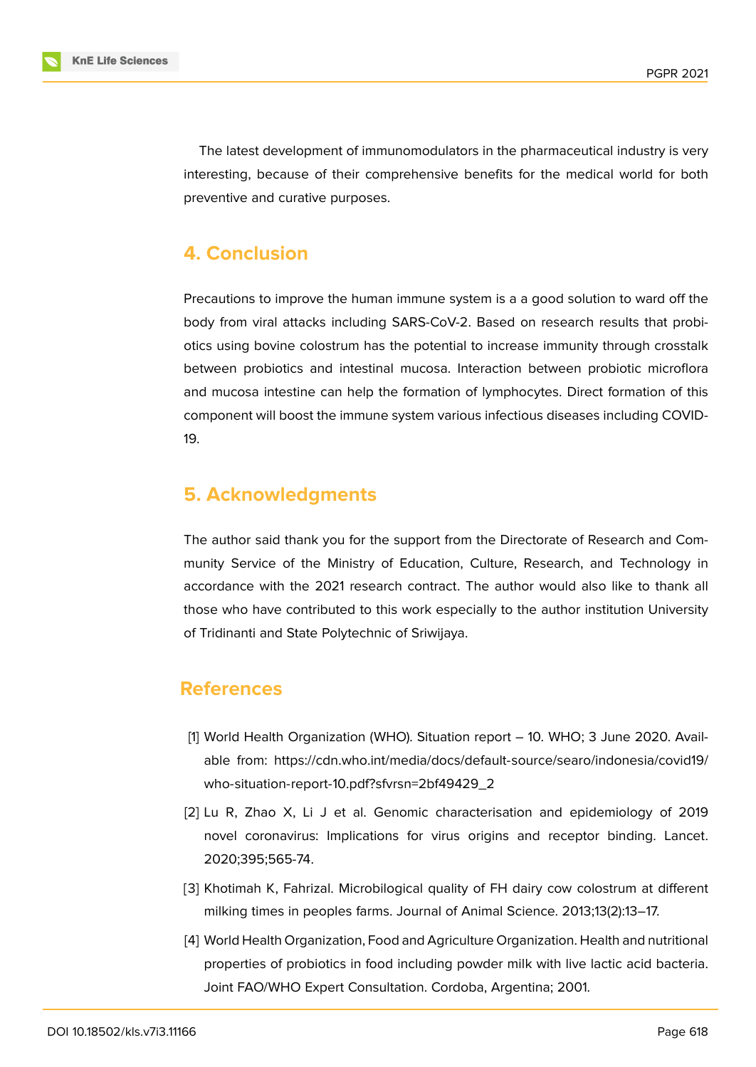The latest development of immunomodulators in the pharmaceutical industry is very interesting, because of their comprehensive benefits for the medical world for both preventive and curative purposes.

## **4. Conclusion**

Precautions to improve the human immune system is a a good solution to ward off the body from viral attacks including SARS-CoV-2. Based on research results that probiotics using bovine colostrum has the potential to increase immunity through crosstalk between probiotics and intestinal mucosa. Interaction between probiotic microflora and mucosa intestine can help the formation of lymphocytes. Direct formation of this component will boost the immune system various infectious diseases including COVID-19.

# **5. Acknowledgments**

The author said thank you for the support from the Directorate of Research and Community Service of the Ministry of Education, Culture, Research, and Technology in accordance with the 2021 research contract. The author would also like to thank all those who have contributed to this work especially to the author institution University of Tridinanti and State Polytechnic of Sriwijaya.

## **References**

- [1] World Health Organization (WHO). Situation report 10. WHO; 3 June 2020. Available from: https://cdn.who.int/media/docs/default-source/searo/indonesia/covid19/ who-situation-report-10.pdf?sfvrsn=2bf49429\_2
- <span id="page-5-0"></span>[2] Lu R, Zha[o X, Li J et al. Genomic characterisation and epidemiology of 2019](https://cdn.who.int/media/docs/default-source/searo/indonesia/covid19/who-situation-report-10.pdf?sfvrsn=2bf49429_2) [novel coronavirus: Implications for virus origi](https://cdn.who.int/media/docs/default-source/searo/indonesia/covid19/who-situation-report-10.pdf?sfvrsn=2bf49429_2)ns and receptor binding. Lancet. 2020;395;565-74.
- <span id="page-5-1"></span>[3] Khotimah K, Fahrizal. Microbilogical quality of FH dairy cow colostrum at different milking times in peoples farms. Journal of Animal Science. 2013;13(2):13–17.
- <span id="page-5-2"></span>[4] World Health Organization, Food and Agriculture Organization. Health and nutritional properties of probiotics in food including powder milk with live lactic acid bacteria. Joint FAO/WHO Expert Consultation. Cordoba, Argentina; 2001.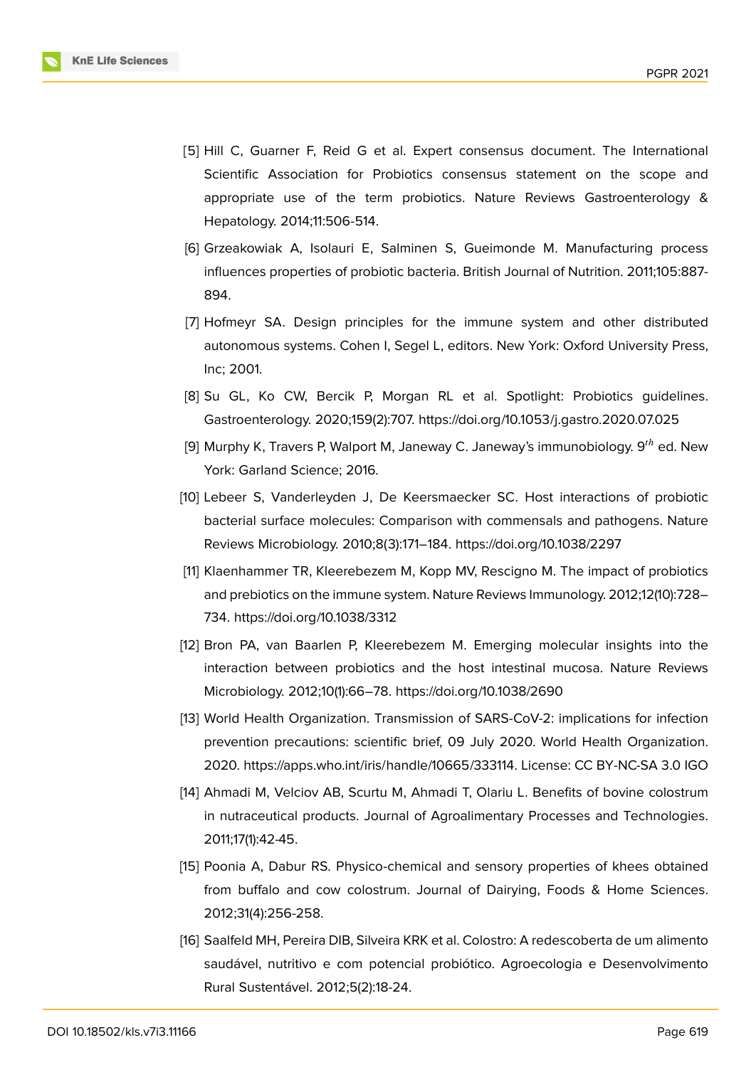

- [5] Hill C, Guarner F, Reid G et al. Expert consensus document. The International Scientific Association for Probiotics consensus statement on the scope and appropriate use of the term probiotics. Nature Reviews Gastroenterology & Hepatology. 2014;11:506-514.
- <span id="page-6-0"></span>[6] Grzeakowiak A, Isolauri E, Salminen S, Gueimonde M. Manufacturing process influences properties of probiotic bacteria. British Journal of Nutrition. 2011;105:887- 894.
- [7] Hofmeyr SA. Design principles for the immune system and other distributed autonomous systems. Cohen I, Segel L, editors. New York: Oxford University Press, Inc; 2001.
- [8] Su GL, Ko CW, Bercik P, Morgan RL et al. Spotlight: Probiotics guidelines. Gastroenterology. 2020;159(2):707. https://doi.org/10.1053/j.gastro.2020.07.025
- [9] Murphy K, Travers P, Walport M, Janeway C. Janeway's immunobiology.  $9^{th}$  ed. New York: Garland Science; 2016.
- <span id="page-6-1"></span>[10] Lebeer S, Vanderleyden J, De Keersmaecker SC. Host interactions of probiotic bacterial surface molecules: Comparison with commensals and pathogens. Nature Reviews Microbiology. 2010;8(3):171–184. https://doi.org/10.1038/2297
- [11] Klaenhammer TR, Kleerebezem M, Kopp MV, Rescigno M. The impact of probiotics and prebiotics on the immune system. Nature Reviews Immunology. 2012;12(10):728– 734. https://doi.org/10.1038/3312
- [12] Bron PA, van Baarlen P, Kleerebezem M. Emerging molecular insights into the interaction between probiotics and the host intestinal mucosa. Nature Reviews Microbiology. 2012;10(1):66–78. https://doi.org/10.1038/2690
- [13] World Health Organization. Transmission of SARS-CoV-2: implications for infection prevention precautions: scientific brief, 09 July 2020. World Health Organization. 2020. https://apps.who.int/iris/handle/10665/333114. License: CC BY-NC-SA 3.0 IGO
- [14] Ahmadi M, Velciov AB, Scurtu M, Ahmadi T, Olariu L. Benefits of bovine colostrum in nutraceutical products. Journal of Agroalimentary Processes and Technologies. 2011;17(1):42-45.
- [15] Poonia A, Dabur RS. Physico-chemical and sensory properties of khees obtained from buffalo and cow colostrum. Journal of Dairying, Foods & Home Sciences. 2012;31(4):256-258.
- [16] Saalfeld MH, Pereira DIB, Silveira KRK et al. Colostro: A redescoberta de um alimento saudável, nutritivo e com potencial probiótico. Agroecologia e Desenvolvimento Rural Sustentável. 2012;5(2):18-24.